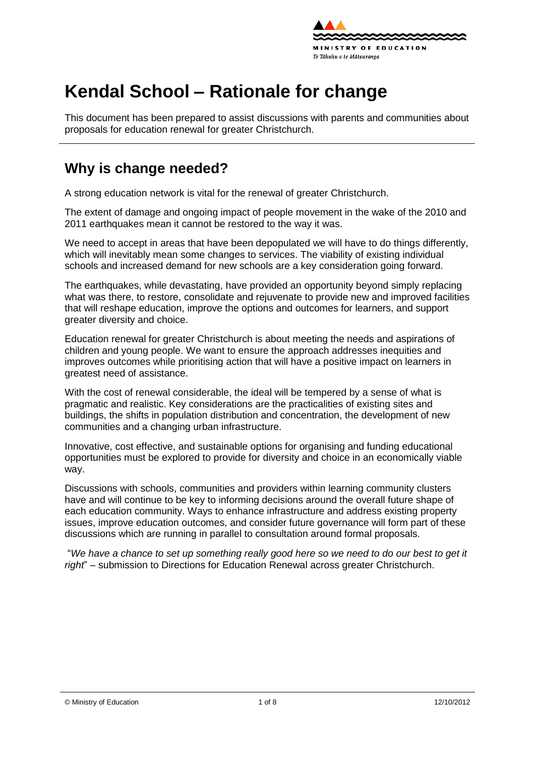

# **Kendal School – Rationale for change**

This document has been prepared to assist discussions with parents and communities about proposals for education renewal for greater Christchurch.

# **Why is change needed?**

A strong education network is vital for the renewal of greater Christchurch.

The extent of damage and ongoing impact of people movement in the wake of the 2010 and 2011 earthquakes mean it cannot be restored to the way it was.

We need to accept in areas that have been depopulated we will have to do things differently, which will inevitably mean some changes to services. The viability of existing individual schools and increased demand for new schools are a key consideration going forward.

The earthquakes, while devastating, have provided an opportunity beyond simply replacing what was there, to [restore,](http://shapingeducation.minedu.govt.nz/guiding-the-process-of-renewal/restore) [consolidate](http://shapingeducation.minedu.govt.nz/guiding-the-process-of-renewal/consolidate) and [rejuvenate](http://shapingeducation.minedu.govt.nz/guiding-the-process-of-renewal/rejuvenate) to provide new and improved facilities that will reshape education, improve the options and outcomes for learners, and support greater diversity and choice.

Education renewal for greater Christchurch is about meeting the needs and aspirations of children and young people. We want to ensure the approach addresses inequities and improves outcomes while prioritising action that will have a positive impact on learners in greatest need of assistance.

With the cost of renewal considerable, the ideal will be tempered by a sense of what is pragmatic and realistic. Key considerations are the practicalities of existing sites and buildings, the shifts in population distribution and concentration, the development of new communities and a changing urban infrastructure.

Innovative, cost effective, and sustainable options for organising and funding educational opportunities must be explored to provide for diversity and choice in an economically viable way.

Discussions with schools, communities and providers within learning community clusters have and will continue to be key to informing decisions around the overall future shape of each education community. Ways to enhance infrastructure and address existing property issues, improve education outcomes, and consider future governance will form part of these discussions which are running in parallel to consultation around formal proposals.

"*We have a chance to set up something really good here so we need to do our best to get it right*" – submission to Directions for Education Renewal across greater Christchurch.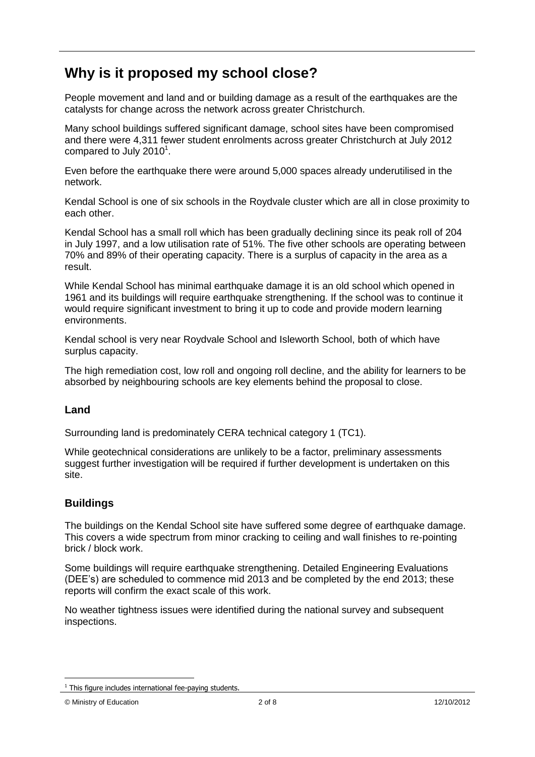# **Why is it proposed my school close?**

People movement and land and or building damage as a result of the earthquakes are the catalysts for change across the network across greater Christchurch.

Many school buildings suffered significant damage, school sites have been compromised and there were 4,311 fewer student enrolments across greater Christchurch at July 2012 compared to July 2010 $^1$ .

Even before the earthquake there were around 5,000 spaces already underutilised in the network.

Kendal School is one of six schools in the Roydvale cluster which are all in close proximity to each other.

Kendal School has a small roll which has been gradually declining since its peak roll of 204 in July 1997, and a low utilisation rate of 51%. The five other schools are operating between 70% and 89% of their operating capacity. There is a surplus of capacity in the area as a result.

While Kendal School has minimal earthquake damage it is an old school which opened in 1961 and its buildings will require earthquake strengthening. If the school was to continue it would require significant investment to bring it up to code and provide modern learning environments.

Kendal school is very near Roydvale School and Isleworth School, both of which have surplus capacity.

The high remediation cost, low roll and ongoing roll decline, and the ability for learners to be absorbed by neighbouring schools are key elements behind the proposal to close.

### **Land**

Surrounding land is predominately CERA technical category 1 (TC1).

While geotechnical considerations are unlikely to be a factor, preliminary assessments suggest further investigation will be required if further development is undertaken on this site.

#### **Buildings**

The buildings on the Kendal School site have suffered some degree of earthquake damage. This covers a wide spectrum from minor cracking to ceiling and wall finishes to re-pointing brick / block work.

Some buildings will require earthquake strengthening. Detailed Engineering Evaluations (DEE"s) are scheduled to commence mid 2013 and be completed by the end 2013; these reports will confirm the exact scale of this work.

No weather tightness issues were identified during the national survey and subsequent inspections.

 $1$  This figure includes international fee-paying students.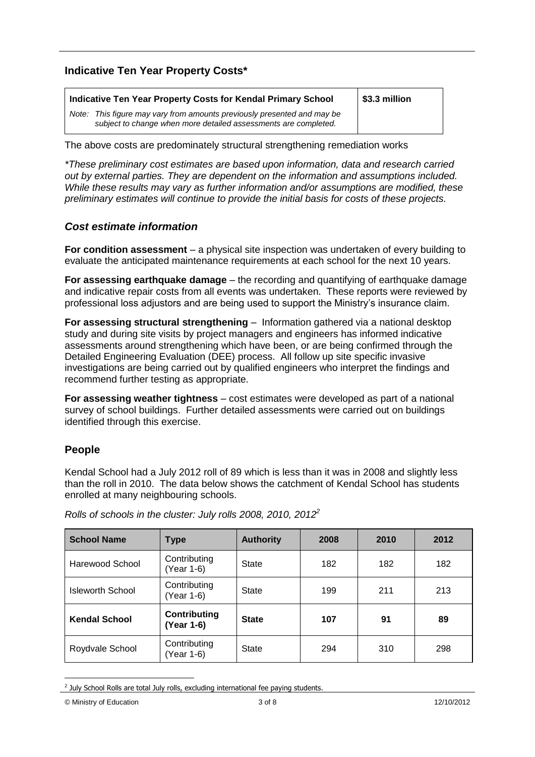### **Indicative Ten Year Property Costs\***

| Indicative Ten Year Property Costs for Kendal Primary School                                                                               | \$3.3 million |
|--------------------------------------------------------------------------------------------------------------------------------------------|---------------|
| Note: This figure may vary from amounts previously presented and may be<br>subject to change when more detailed assessments are completed. |               |

The above costs are predominately structural strengthening remediation works

*\*These preliminary cost estimates are based upon information, data and research carried out by external parties. They are dependent on the information and assumptions included. While these results may vary as further information and/or assumptions are modified, these preliminary estimates will continue to provide the initial basis for costs of these projects.*

#### *Cost estimate information*

**For condition assessment** – a physical site inspection was undertaken of every building to evaluate the anticipated maintenance requirements at each school for the next 10 years.

**For assessing earthquake damage** – the recording and quantifying of earthquake damage and indicative repair costs from all events was undertaken. These reports were reviewed by professional loss adjustors and are being used to support the Ministry"s insurance claim.

**For assessing structural strengthening** – Information gathered via a national desktop study and during site visits by project managers and engineers has informed indicative assessments around strengthening which have been, or are being confirmed through the Detailed Engineering Evaluation (DEE) process. All follow up site specific invasive investigations are being carried out by qualified engineers who interpret the findings and recommend further testing as appropriate.

**For assessing weather tightness** – cost estimates were developed as part of a national survey of school buildings. Further detailed assessments were carried out on buildings identified through this exercise.

### **People**

Kendal School had a July 2012 roll of 89 which is less than it was in 2008 and slightly less than the roll in 2010. The data below shows the catchment of Kendal School has students enrolled at many neighbouring schools.

| <b>School Name</b>   | Type                              | <b>Authority</b> | 2008 | 2010 | 2012 |
|----------------------|-----------------------------------|------------------|------|------|------|
| Harewood School      | Contributing<br>(Year 1-6)        | State            | 182  | 182  | 182  |
| Isleworth School     | Contributing<br>(Year 1-6)        | State            | 199  | 211  | 213  |
| <b>Kendal School</b> | <b>Contributing</b><br>(Year 1-6) | <b>State</b>     | 107  | 91   | 89   |
| Roydvale School      | Contributing<br>(Year 1-6)        | State            | 294  | 310  | 298  |

*Rolls of schools in the cluster: July rolls 2008, 2010, 2012<sup>2</sup>*

<sup>1</sup>  $2$  July School Rolls are total July rolls, excluding international fee paying students.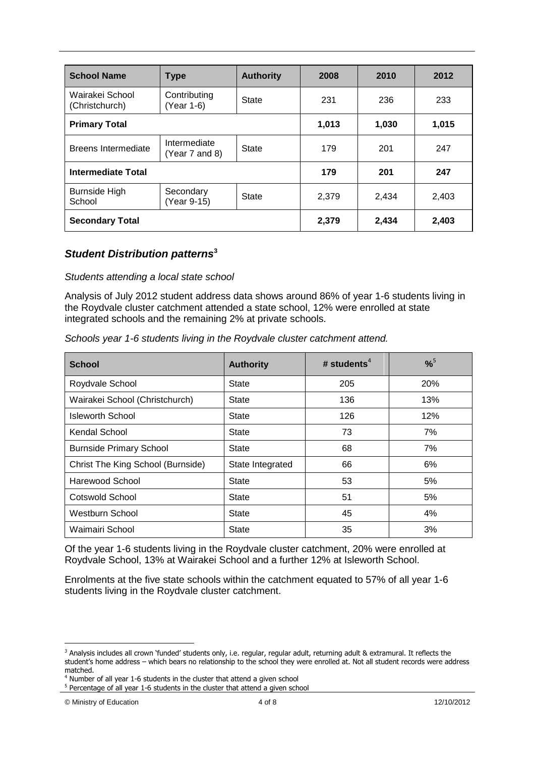| <b>School Name</b>                | <b>Type</b>                         | <b>Authority</b> | 2008  | 2010  | 2012  |
|-----------------------------------|-------------------------------------|------------------|-------|-------|-------|
| Wairakei School<br>(Christchurch) | Contributing<br>State<br>(Year 1-6) |                  | 231   | 236   | 233   |
| <b>Primary Total</b>              |                                     |                  | 1,013 | 1,030 | 1,015 |
| Breens Intermediate               | Intermediate<br>(Year 7 and 8)      | State            | 179   | 201   | 247   |
| <b>Intermediate Total</b>         |                                     |                  | 179   | 201   | 247   |
| <b>Burnside High</b><br>School    | Secondary<br>(Year 9-15)            | <b>State</b>     | 2,379 | 2,434 | 2,403 |
| <b>Secondary Total</b>            |                                     |                  | 2,379 | 2,434 | 2,403 |

#### *Student Distribution patterns***<sup>3</sup>**

#### *Students attending a local state school*

Analysis of July 2012 student address data shows around 86% of year 1-6 students living in the Roydvale cluster catchment attended a state school, 12% were enrolled at state integrated schools and the remaining 2% at private schools.

|  |  |  |  | Schools year 1-6 students living in the Roydvale cluster catchment attend. |  |
|--|--|--|--|----------------------------------------------------------------------------|--|
|  |  |  |  |                                                                            |  |

| <b>School</b>                     | <b>Authority</b> | # students <sup>4</sup> | $% ^{5}$ |  |
|-----------------------------------|------------------|-------------------------|----------|--|
| Roydvale School                   | <b>State</b>     | 205                     | 20%      |  |
| Wairakei School (Christchurch)    | <b>State</b>     | 136                     | 13%      |  |
| <b>Isleworth School</b>           | <b>State</b>     | 126                     | 12%      |  |
| Kendal School                     | <b>State</b>     | 73                      | 7%       |  |
| <b>Burnside Primary School</b>    | <b>State</b>     | 68                      | 7%       |  |
| Christ The King School (Burnside) | State Integrated | 66                      | 6%       |  |
| Harewood School                   | State            | 53                      | 5%       |  |
| Cotswold School                   | State            | 51                      | 5%       |  |
| Westburn School                   | State            | 45                      | 4%       |  |
| Waimairi School                   | <b>State</b>     | 35                      | 3%       |  |

Of the year 1-6 students living in the Roydvale cluster catchment, 20% were enrolled at Roydvale School, 13% at Wairakei School and a further 12% at Isleworth School.

Enrolments at the five state schools within the catchment equated to 57% of all year 1-6 students living in the Roydvale cluster catchment.

<sup>&</sup>lt;sup>3</sup> Analysis includes all crown 'funded' students only, i.e. regular, regular adult, returning adult & extramural. It reflects the student's home address – which bears no relationship to the school they were enrolled at. Not all student records were address matched.

<sup>4</sup> Number of all year 1-6 students in the cluster that attend a given school

<sup>&</sup>lt;sup>5</sup> Percentage of all year 1-6 students in the cluster that attend a given school

<sup>©</sup> Ministry of Education 4 of 8 12/10/2012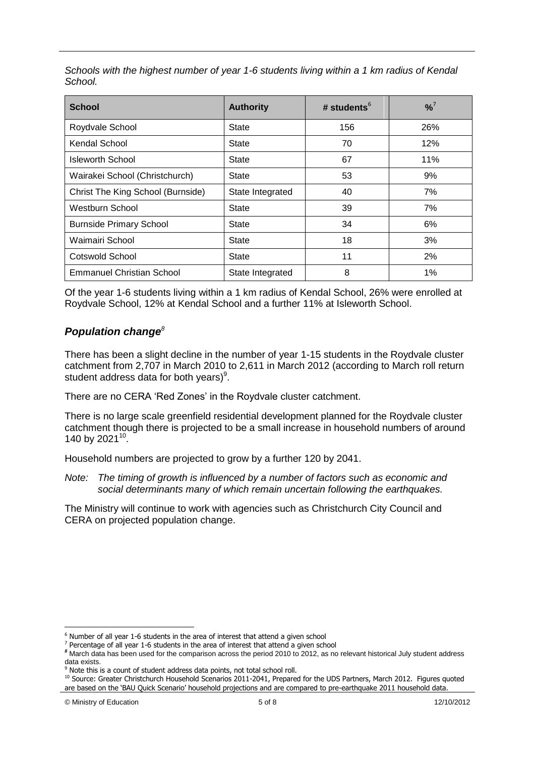*Schools with the highest number of year 1-6 students living within a 1 km radius of Kendal School.*

| <b>School</b>                     | <b>Authority</b> | # students $6$ | $\frac{9}{6}$ |  |
|-----------------------------------|------------------|----------------|---------------|--|
| Roydvale School                   | <b>State</b>     | 156            | 26%           |  |
| Kendal School                     | State            | 70             | 12%           |  |
| <b>Isleworth School</b>           | <b>State</b>     | 67             | 11%           |  |
| Wairakei School (Christchurch)    | State            | 53             | 9%            |  |
| Christ The King School (Burnside) | State Integrated | 40             | 7%            |  |
| Westburn School                   | State            | 39             | 7%            |  |
| <b>Burnside Primary School</b>    | <b>State</b>     | 34             | 6%            |  |
| Waimairi School                   | State            | 18             | 3%            |  |
| Cotswold School                   | <b>State</b>     | 11             | 2%            |  |
| <b>Emmanuel Christian School</b>  | State Integrated | 8              | 1%            |  |

Of the year 1-6 students living within a 1 km radius of Kendal School, 26% were enrolled at Roydvale School, 12% at Kendal School and a further 11% at Isleworth School.

### *Population change<sup>8</sup>*

There has been a slight decline in the number of year 1-15 students in the Roydvale cluster catchment from 2,707 in March 2010 to 2,611 in March 2012 (according to March roll return student address data for both years)<sup>9</sup>.

There are no CERA 'Red Zones' in the Roydvale cluster catchment.

There is no large scale greenfield residential development planned for the Roydvale cluster catchment though there is projected to be a small increase in household numbers of around 140 by 2021 $^{10}$ .

Household numbers are projected to grow by a further 120 by 2041.

*Note: The timing of growth is influenced by a number of factors such as economic and social determinants many of which remain uncertain following the earthquakes.*

The Ministry will continue to work with agencies such as Christchurch City Council and CERA on projected population change.

 $6$  Number of all year 1-6 students in the area of interest that attend a given school

 $<sup>7</sup>$  Percentage of all year 1-6 students in the area of interest that attend a given school</sup>

*<sup>8</sup>* March data has been used for the comparison across the period 2010 to 2012, as no relevant historical July student address data exists.

<sup>&</sup>lt;sup>9</sup> Note this is a count of student address data points, not total school roll.

<sup>10</sup> Source: Greater Christchurch Household Scenarios 2011-2041, Prepared for the UDS Partners, March 2012. Figures quoted are based on the 'BAU Quick Scenario' household projections and are compared to pre-earthquake 2011 household data.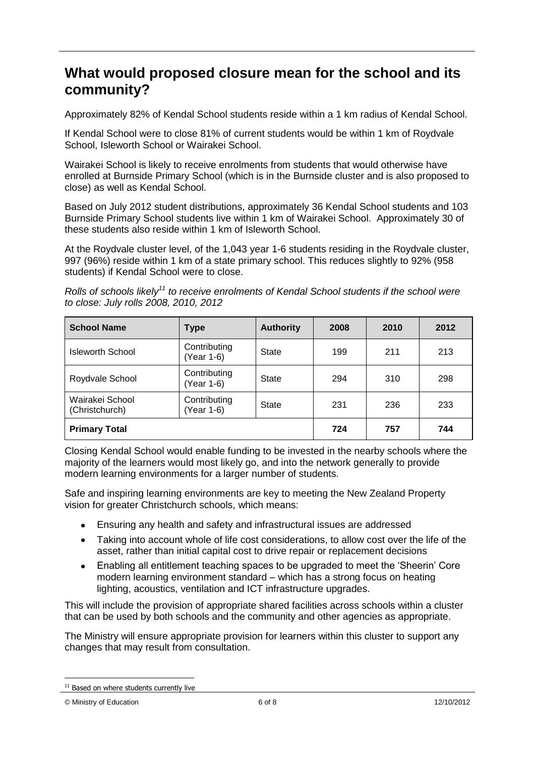### **What would proposed closure mean for the school and its community?**

Approximately 82% of Kendal School students reside within a 1 km radius of Kendal School.

If Kendal School were to close 81% of current students would be within 1 km of Roydvale School, Isleworth School or Wairakei School.

Wairakei School is likely to receive enrolments from students that would otherwise have enrolled at Burnside Primary School (which is in the Burnside cluster and is also proposed to close) as well as Kendal School.

Based on July 2012 student distributions, approximately 36 Kendal School students and 103 Burnside Primary School students live within 1 km of Wairakei School. Approximately 30 of these students also reside within 1 km of Isleworth School.

At the Roydvale cluster level, of the 1,043 year 1-6 students residing in the Roydvale cluster, 997 (96%) reside within 1 km of a state primary school. This reduces slightly to 92% (958 students) if Kendal School were to close.

*Rolls of schools likely<sup>11</sup> to receive enrolments of Kendal School students if the school were to close: July rolls 2008, 2010, 2012*

| <b>School Name</b>                | <b>Type</b>                | <b>Authority</b> | 2008 | 2010 | 2012 |
|-----------------------------------|----------------------------|------------------|------|------|------|
| Isleworth School                  | Contributing<br>(Year 1-6) | State            | 199  | 211  | 213  |
| Roydvale School                   | Contributing<br>(Year 1-6) | State            | 294  | 310  | 298  |
| Wairakei School<br>(Christchurch) | Contributing<br>Year 1-6)  | State            | 231  | 236  | 233  |
| <b>Primary Total</b>              |                            |                  | 724  | 757  | 744  |

Closing Kendal School would enable funding to be invested in the nearby schools where the majority of the learners would most likely go, and into the network generally to provide modern learning environments for a larger number of students.

Safe and inspiring learning environments are key to meeting the New Zealand Property vision for greater Christchurch schools, which means:

- Ensuring any health and safety and infrastructural issues are addressed  $\bullet$
- Taking into account whole of life cost considerations, to allow cost over the life of the  $\bullet$ asset, rather than initial capital cost to drive repair or replacement decisions
- Enabling all entitlement teaching spaces to be upgraded to meet the "Sheerin" Core  $\bullet$ modern learning environment standard – which has a strong focus on heating lighting, acoustics, ventilation and ICT infrastructure upgrades.

This will include the provision of appropriate shared facilities across schools within a cluster that can be used by both schools and the community and other agencies as appropriate.

The Ministry will ensure appropriate provision for learners within this cluster to support any changes that may result from consultation.

<sup>&</sup>lt;sup>11</sup> Based on where students currently live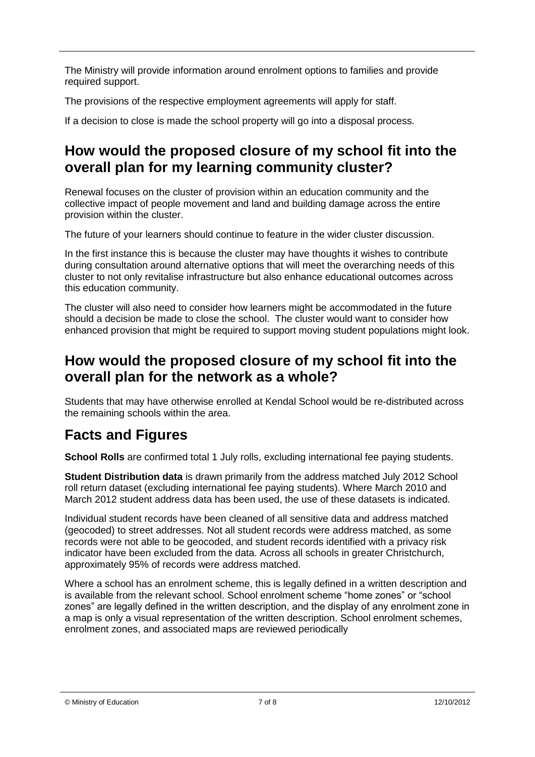The Ministry will provide information around enrolment options to families and provide required support.

The provisions of the respective employment agreements will apply for staff.

If a decision to close is made the school property will go into a disposal process.

## **How would the proposed closure of my school fit into the overall plan for my learning community cluster?**

Renewal focuses on the cluster of provision within an education community and the collective impact of people movement and land and building damage across the entire provision within the cluster.

The future of your learners should continue to feature in the wider cluster discussion.

In the first instance this is because the cluster may have thoughts it wishes to contribute during consultation around alternative options that will meet the overarching needs of this cluster to not only revitalise infrastructure but also enhance educational outcomes across this education community.

The cluster will also need to consider how learners might be accommodated in the future should a decision be made to close the school. The cluster would want to consider how enhanced provision that might be required to support moving student populations might look.

### **How would the proposed closure of my school fit into the overall plan for the network as a whole?**

Students that may have otherwise enrolled at Kendal School would be re-distributed across the remaining schools within the area.

# **Facts and Figures**

**School Rolls** are confirmed total 1 July rolls, excluding international fee paying students.

**Student Distribution data** is drawn primarily from the address matched July 2012 School roll return dataset (excluding international fee paying students). Where March 2010 and March 2012 student address data has been used, the use of these datasets is indicated.

Individual student records have been cleaned of all sensitive data and address matched (geocoded) to street addresses. Not all student records were address matched, as some records were not able to be geocoded, and student records identified with a privacy risk indicator have been excluded from the data. Across all schools in greater Christchurch, approximately 95% of records were address matched.

Where a school has an enrolment scheme, this is legally defined in a written description and is available from the relevant school. School enrolment scheme "home zones" or "school zones" are legally defined in the written description, and the display of any enrolment zone in a map is only a visual representation of the written description. School enrolment schemes, enrolment zones, and associated maps are reviewed periodically

© Ministry of Education 7 of 8 12/10/2012